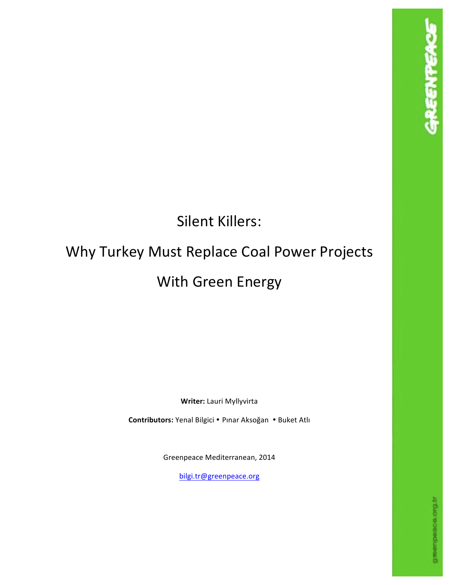## Silent Killers:

# Why Turkey Must Replace Coal Power Projects With Green Energy

**Writer:** Lauri Myllyvirta

Contributors: Yenal Bilgici . Pinar Aksoğan . Buket Atlı

Greenpeace Mediterranean, 2014

bilgi.tr@greenpeace.org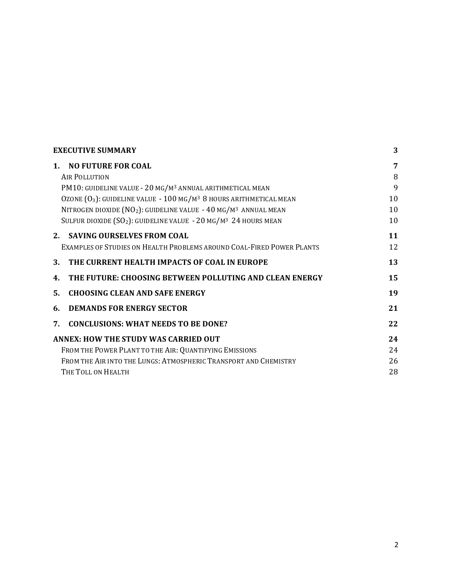| <b>EXECUTIVE SUMMARY</b>                                                          |    |  |
|-----------------------------------------------------------------------------------|----|--|
| <b>NO FUTURE FOR COAL</b><br>$\mathbf{1}$ .                                       | 7  |  |
| <b>AIR POLLUTION</b>                                                              | 8  |  |
| PM10: GUIDELINE VALUE - 20 MG/M <sup>3</sup> ANNUAL ARITHMETICAL MEAN             | 9  |  |
| OZONE $(0_3)$ : GUIDELINE VALUE - 100 MG/M <sup>3</sup> 8 HOURS ARITHMETICAL MEAN | 10 |  |
| NITROGEN DIOXIDE (NO2): GUIDELINE VALUE - 40 MG/M3 ANNUAL MEAN                    | 10 |  |
| SULFUR DIOXIDE $(SO_2)$ : GUIDELINE VALUE - 20 MG/M <sup>3</sup> 24 HOURS MEAN    | 10 |  |
| <b>SAVING OURSELVES FROM COAL</b><br>$2_{-}$                                      | 11 |  |
| EXAMPLES OF STUDIES ON HEALTH PROBLEMS AROUND COAL-FIRED POWER PLANTS             | 12 |  |
| THE CURRENT HEALTH IMPACTS OF COAL IN EUROPE<br>3.                                | 13 |  |
| THE FUTURE: CHOOSING BETWEEN POLLUTING AND CLEAN ENERGY<br>4.                     | 15 |  |
| <b>CHOOSING CLEAN AND SAFE ENERGY</b><br>5.                                       | 19 |  |
| <b>DEMANDS FOR ENERGY SECTOR</b><br>6.                                            | 21 |  |
| <b>CONCLUSIONS: WHAT NEEDS TO BE DONE?</b><br>7.                                  | 22 |  |
| <b>ANNEX: HOW THE STUDY WAS CARRIED OUT</b>                                       | 24 |  |
| FROM THE POWER PLANT TO THE AIR: QUANTIFYING EMISSIONS                            | 24 |  |
| FROM THE AIR INTO THE LUNGS: ATMOSPHERIC TRANSPORT AND CHEMISTRY                  | 26 |  |
| THE TOLL ON HEALTH                                                                | 28 |  |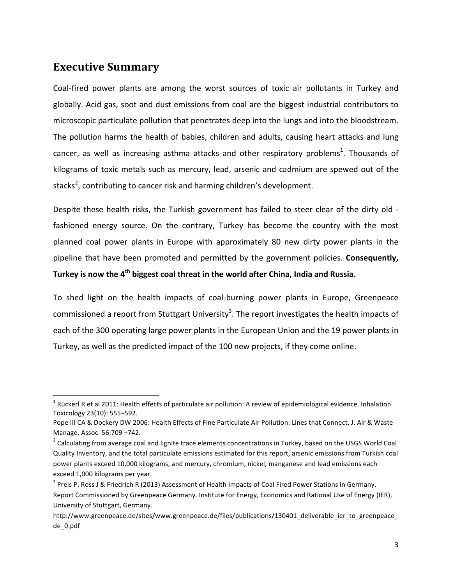## **Executive Summary**

<u> 1989 - Johann Stein, fransk politik (d. 1989)</u>

Coal-fired power plants are among the worst sources of toxic air pollutants in Turkey and globally. Acid gas, soot and dust emissions from coal are the biggest industrial contributors to microscopic particulate pollution that penetrates deep into the lungs and into the bloodstream. The pollution harms the health of babies, children and adults, causing heart attacks and lung cancer, as well as increasing asthma attacks and other respiratory problems<sup>1</sup>. Thousands of kilograms of toxic metals such as mercury, lead, arsenic and cadmium are spewed out of the stacks<sup>2</sup>, contributing to cancer risk and harming children's development.

Despite these health risks, the Turkish government has failed to steer clear of the dirty old fashioned energy source. On the contrary, Turkey has become the country with the most planned coal power plants in Europe with approximately 80 new dirty power plants in the pipeline that have been promoted and permitted by the government policies. Consequently, Turkey is now the 4<sup>th</sup> biggest coal threat in the world after China, India and Russia.

To shed light on the health impacts of coal-burning power plants in Europe, Greenpeace commissioned a report from Stuttgart University<sup>3</sup>. The report investigates the health impacts of each of the 300 operating large power plants in the European Union and the 19 power plants in Turkey, as well as the predicted impact of the 100 new projects, if they come online.

 $1$  Rückerl R et al 2011: Health effects of particulate air pollution: A review of epidemiological evidence. Inhalation Toxicology 23(10): 555-592.

Pope III CA & Dockery DW 2006: Health Effects of Fine Particulate Air Pollution: Lines that Connect. J. Air & Waste Manage. Assoc. 56:709 -742.

 $2$  Calculating from average coal and lignite trace elements concentrations in Turkey, based on the USGS World Coal Quality Inventory, and the total particulate emissions estimated for this report, arsenic emissions from Turkish coal power plants exceed 10,000 kilograms, and mercury, chromium, nickel, manganese and lead emissions each exceed 1,000 kilograms per year.

 $3$  Preis P, Ross J & Friedrich R (2013) Assessment of Health Impacts of Coal Fired Power Stations in Germany. Report Commissioned by Greenpeace Germany. Institute for Energy, Economics and Rational Use of Energy (IER), University of Stuttgart, Germany.

http://www.greenpeace.de/sites/www.greenpeace.de/files/publications/130401\_deliverable\_ier\_to\_greenpeace\_ de\_0.pdf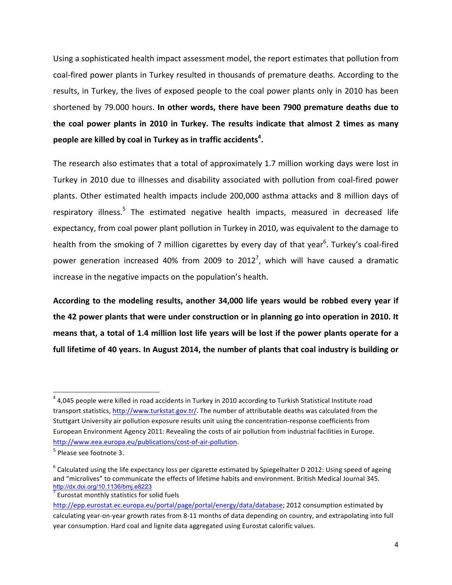Using a sophisticated health impact assessment model, the report estimates that pollution from coal-fired power plants in Turkey resulted in thousands of premature deaths. According to the results, in Turkey, the lives of exposed people to the coal power plants only in 2010 has been shortened by 79.000 hours. In other words, there have been 7900 premature deaths due to **the coal power plants in 2010 in Turkey. The results indicate that almost 2 times as many people** are killed by coal in Turkey as in traffic accidents<sup>4</sup>.

The research also estimates that a total of approximately 1.7 million working days were lost in Turkey in 2010 due to illnesses and disability associated with pollution from coal-fired power plants. Other estimated health impacts include 200,000 asthma attacks and 8 million days of respiratory illness.<sup>5</sup> The estimated negative health impacts, measured in decreased life expectancy, from coal power plant pollution in Turkey in 2010, was equivalent to the damage to health from the smoking of 7 million cigarettes by every day of that year<sup>6</sup>. Turkey's coal-fired power generation increased 40% from 2009 to 2012<sup>7</sup>, which will have caused a dramatic increase in the negative impacts on the population's health.

According to the modeling results, another 34,000 life years would be robbed every year if **the 42 power plants that were under construction or in planning go into operation in 2010. It** means that, a total of 1.4 million lost life years will be lost if the power plants operate for a full lifetime of 40 years. In August 2014, the number of plants that coal industry is building or

 $4$  4,045 people were killed in road accidents in Turkey in 2010 according to Turkish Statistical Institute road transport statistics, http://www.turkstat.gov.tr/. The number of attributable deaths was calculated from the Stuttgart University air pollution exposure results unit using the concentration-response coefficients from European Environment Agency 2011: Revealing the costs of air pollution from industrial facilities in Europe. http://www.eea.europa.eu/publications/cost-of-air-pollution.

 $5$  Please see footnote 3.

 $6$  Calculated using the life expectancy loss per cigarette estimated by Spiegelhalter D 2012: Using speed of ageing and "microlives" to communicate the effects of lifetime habits and environment. British Medical Journal 345. http://dx.doi.org/10.1136/bmj.e8223

 $7$  Eurostat monthly statistics for solid fuels

http://epp.eurostat.ec.europa.eu/portal/page/portal/energy/data/database; 2012 consumption estimated by calculating year-on-year growth rates from 8-11 months of data depending on country, and extrapolating into full year consumption. Hard coal and lignite data aggregated using Eurostat calorific values.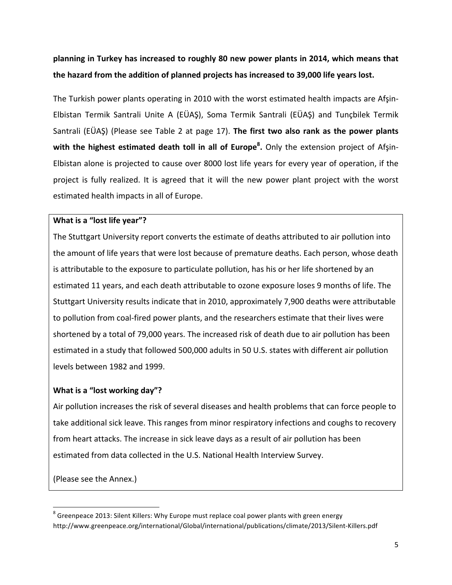**planning** in Turkey has increased to roughly 80 new power plants in 2014, which means that the hazard from the addition of planned projects has increased to 39,000 life years lost.

The Turkish power plants operating in 2010 with the worst estimated health impacts are Afsin-Elbistan Termik Santrali Unite A (EÜAŞ), Soma Termik Santrali (EÜAŞ) and Tuncbilek Termik Santrali (EÜAŞ) (Please see Table 2 at page 17). The first two also rank as the power plants with the highest estimated death toll in all of Europe<sup>8</sup>. Only the extension project of Afşin-Elbistan alone is projected to cause over 8000 lost life years for every year of operation, if the project is fully realized. It is agreed that it will the new power plant project with the worst estimated health impacts in all of Europe.

#### **What is a "lost life year"?**

The Stuttgart University report converts the estimate of deaths attributed to air pollution into the amount of life years that were lost because of premature deaths. Each person, whose death is attributable to the exposure to particulate pollution, has his or her life shortened by an estimated 11 years, and each death attributable to ozone exposure loses 9 months of life. The Stuttgart University results indicate that in 2010, approximately 7,900 deaths were attributable to pollution from coal-fired power plants, and the researchers estimate that their lives were shortened by a total of 79,000 years. The increased risk of death due to air pollution has been estimated in a study that followed 500,000 adults in 50 U.S. states with different air pollution levels between 1982 and 1999.

#### **What is a "lost working day"?**

Air pollution increases the risk of several diseases and health problems that can force people to take additional sick leave. This ranges from minor respiratory infections and coughs to recovery from heart attacks. The increase in sick leave days as a result of air pollution has been estimated from data collected in the U.S. National Health Interview Survey.

(Please see the Annex.)

 $8$  Greenpeace 2013: Silent Killers: Why Europe must replace coal power plants with green energy http://www.greenpeace.org/international/Global/international/publications/climate/2013/Silent-Killers.pdf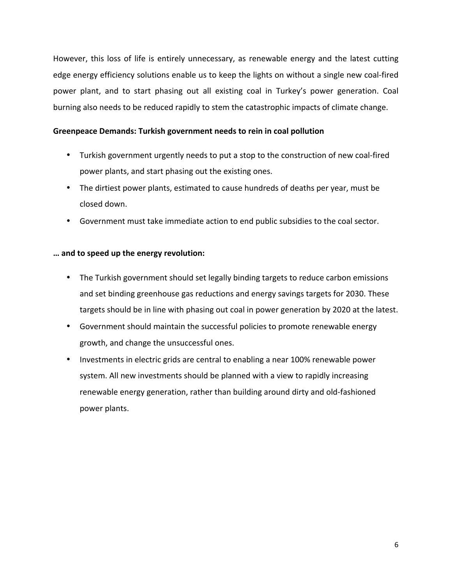However, this loss of life is entirely unnecessary, as renewable energy and the latest cutting edge energy efficiency solutions enable us to keep the lights on without a single new coal-fired power plant, and to start phasing out all existing coal in Turkey's power generation. Coal burning also needs to be reduced rapidly to stem the catastrophic impacts of climate change.

#### Greenpeace Demands: Turkish government needs to rein in coal pollution

- Turkish government urgently needs to put a stop to the construction of new coal-fired power plants, and start phasing out the existing ones.
- The dirtiest power plants, estimated to cause hundreds of deaths per year, must be closed down.
- Government must take immediate action to end public subsidies to the coal sector.

#### **… and to speed up the energy revolution:**

- The Turkish government should set legally binding targets to reduce carbon emissions and set binding greenhouse gas reductions and energy savings targets for 2030. These targets should be in line with phasing out coal in power generation by 2020 at the latest.
- Government should maintain the successful policies to promote renewable energy growth, and change the unsuccessful ones.
- Investments in electric grids are central to enabling a near 100% renewable power system. All new investments should be planned with a view to rapidly increasing renewable energy generation, rather than building around dirty and old-fashioned power plants.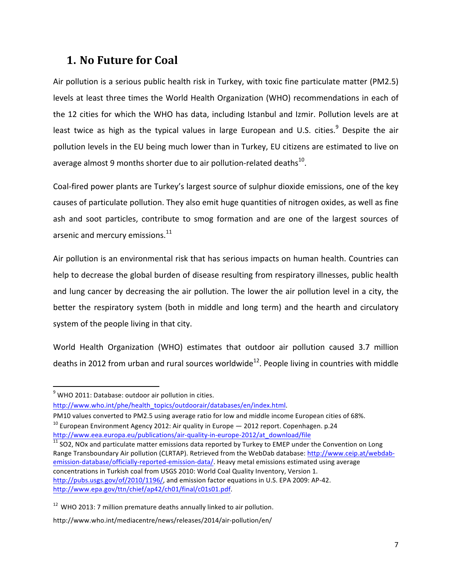## **1. No Future for Coal**

Air pollution is a serious public health risk in Turkey, with toxic fine particulate matter (PM2.5) levels at least three times the World Health Organization (WHO) recommendations in each of the 12 cities for which the WHO has data, including Istanbul and Izmir. Pollution levels are at least twice as high as the typical values in large European and U.S. cities.<sup>9</sup> Despite the air pollution levels in the EU being much lower than in Turkey, EU citizens are estimated to live on average almost 9 months shorter due to air pollution-related deaths $^{10}$ .

Coal-fired power plants are Turkey's largest source of sulphur dioxide emissions, one of the key causes of particulate pollution. They also emit huge quantities of nitrogen oxides, as well as fine ash and soot particles, contribute to smog formation and are one of the largest sources of arsenic and mercury emissions.<sup>11</sup>

Air pollution is an environmental risk that has serious impacts on human health. Countries can help to decrease the global burden of disease resulting from respiratory illnesses, public health and lung cancer by decreasing the air pollution. The lower the air pollution level in a city, the better the respiratory system (both in middle and long term) and the hearth and circulatory system of the people living in that city.

World Health Organization (WHO) estimates that outdoor air pollution caused 3.7 million deaths in 2012 from urban and rural sources worldwide<sup>12</sup>. People living in countries with middle

 

http://www.who.int/phe/health\_topics/outdoorair/databases/en/index.html. 

PM10 values converted to PM2.5 using average ratio for low and middle income European cities of 68%.  $10$  European Environment Agency 2012: Air quality in Europe  $-$  2012 report. Copenhagen. p.24

http://www.eea.europa.eu/publications/air-quality-in-europe-2012/at\_download/file  $11$  SO2, NOx and particulate matter emissions data reported by Turkey to EMEP under the Convention on Long Range Transboundary Air pollution (CLRTAP). Retrieved from the WebDab database: http://www.ceip.at/webdabemission-database/officially-reported-emission-data/. Heavy metal emissions estimated using average concentrations in Turkish coal from USGS 2010: World Coal Quality Inventory, Version 1. http://pubs.usgs.gov/of/2010/1196/, and emission factor equations in U.S. EPA 2009: AP-42. http://www.epa.gov/ttn/chief/ap42/ch01/final/c01s01.pdf.

 $9$  WHO 2011: Database: outdoor air pollution in cities.

 $12$  WHO 2013: 7 million premature deaths annually linked to air pollution.

http://www.who.int/mediacentre/news/releases/2014/air-pollution/en/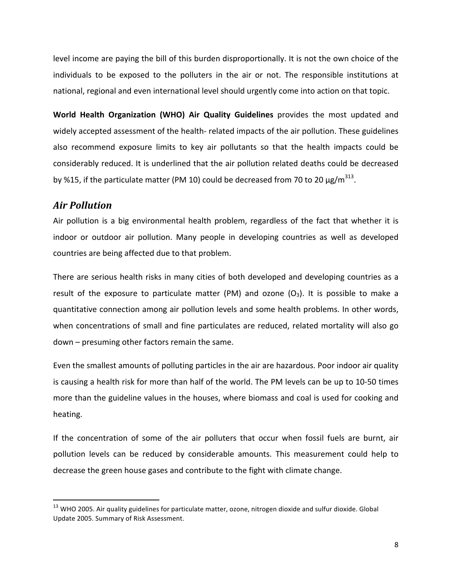level income are paying the bill of this burden disproportionally. It is not the own choice of the individuals to be exposed to the polluters in the air or not. The responsible institutions at national, regional and even international level should urgently come into action on that topic.

**World Health Organization (WHO) Air Quality Guidelines** provides the most updated and widely accepted assessment of the health- related impacts of the air pollution. These guidelines also recommend exposure limits to key air pollutants so that the health impacts could be considerably reduced. It is underlined that the air pollution related deaths could be decreased by %15, if the particulate matter (PM 10) could be decreased from 70 to 20  $\mu$ g/m<sup>313</sup>.

#### *Air Pollution*

<u> 1989 - Johann Stein, fransk politik (d. 1989)</u>

Air pollution is a big environmental health problem, regardless of the fact that whether it is indoor or outdoor air pollution. Many people in developing countries as well as developed countries are being affected due to that problem.

There are serious health risks in many cities of both developed and developing countries as a result of the exposure to particulate matter (PM) and ozone  $(O_3)$ . It is possible to make a quantitative connection among air pollution levels and some health problems. In other words, when concentrations of small and fine particulates are reduced, related mortality will also go  $down$  – presuming other factors remain the same.

Even the smallest amounts of polluting particles in the air are hazardous. Poor indoor air quality is causing a health risk for more than half of the world. The PM levels can be up to 10-50 times more than the guideline values in the houses, where biomass and coal is used for cooking and heating. 

If the concentration of some of the air polluters that occur when fossil fuels are burnt, air pollution levels can be reduced by considerable amounts. This measurement could help to decrease the green house gases and contribute to the fight with climate change.

 $13$  WHO 2005. Air quality guidelines for particulate matter, ozone, nitrogen dioxide and sulfur dioxide. Global Update 2005. Summary of Risk Assessment.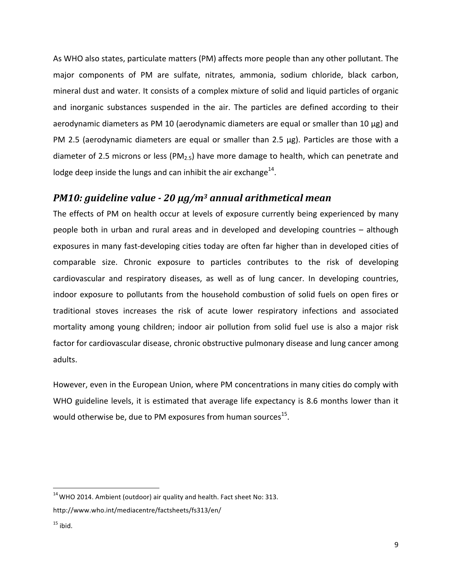As WHO also states, particulate matters (PM) affects more people than any other pollutant. The major components of PM are sulfate, nitrates, ammonia, sodium chloride, black carbon, mineral dust and water. It consists of a complex mixture of solid and liquid particles of organic and inorganic substances suspended in the air. The particles are defined according to their aerodynamic diameters as PM 10 (aerodynamic diameters are equal or smaller than 10 μg) and PM 2.5 (aerodynamic diameters are equal or smaller than 2.5  $\mu$ g). Particles are those with a diameter of 2.5 microns or less (PM<sub>2.5</sub>) have more damage to health, which can penetrate and lodge deep inside the lungs and can inhibit the air exchange<sup>14</sup>.

#### *PM10: guideline value - 20 μg/m<sup>3</sup> annual arithmetical mean*

The effects of PM on health occur at levels of exposure currently being experienced by many people both in urban and rural areas and in developed and developing countries – although exposures in many fast-developing cities today are often far higher than in developed cities of comparable size. Chronic exposure to particles contributes to the risk of developing cardiovascular and respiratory diseases, as well as of lung cancer. In developing countries, indoor exposure to pollutants from the household combustion of solid fuels on open fires or traditional stoves increases the risk of acute lower respiratory infections and associated mortality among young children; indoor air pollution from solid fuel use is also a major risk factor for cardiovascular disease, chronic obstructive pulmonary disease and lung cancer among adults.

However, even in the European Union, where PM concentrations in many cities do comply with WHO guideline levels, it is estimated that average life expectancy is 8.6 months lower than it would otherwise be, due to PM exposures from human sources<sup>15</sup>.

 $14$  WHO 2014. Ambient (outdoor) air quality and health. Fact sheet No: 313.

http://www.who.int/mediacentre/factsheets/fs313/en/

 $15$  ibid.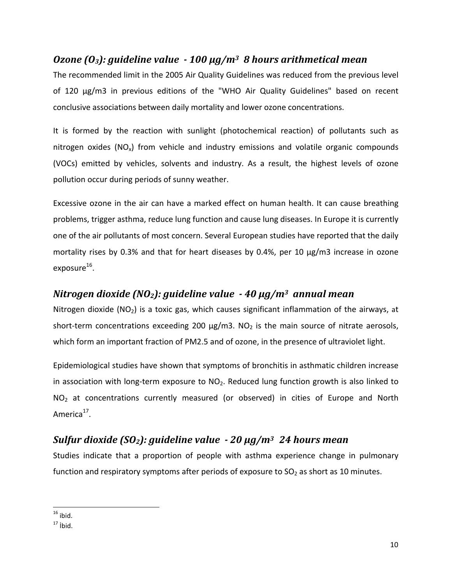## *Ozone* (*O<sub>3</sub>*): *guideline* value  $\cdot$  *100* μg/m<sup>3</sup> *8* hours arithmetical mean

The recommended limit in the 2005 Air Quality Guidelines was reduced from the previous level of 120  $\mu$ g/m3 in previous editions of the "WHO Air Quality Guidelines" based on recent conclusive associations between daily mortality and lower ozone concentrations.

It is formed by the reaction with sunlight (photochemical reaction) of pollutants such as nitrogen oxides  $(NO_x)$  from vehicle and industry emissions and volatile organic compounds (VOCs) emitted by vehicles, solvents and industry. As a result, the highest levels of ozone pollution occur during periods of sunny weather.

Excessive ozone in the air can have a marked effect on human health. It can cause breathing problems, trigger asthma, reduce lung function and cause lung diseases. In Europe it is currently one of the air pollutants of most concern. Several European studies have reported that the daily mortality rises by 0.3% and that for heart diseases by 0.4%, per 10  $\mu$ g/m3 increase in ozone exposure $^{16}$ .

#### *Nitrogen dioxide (NO<sub>2</sub>): guideline value*  $\cdot$  *40 μg/m<sup>3</sup> annual mean*

Nitrogen dioxide  $(NO<sub>2</sub>)$  is a toxic gas, which causes significant inflammation of the airways, at short-term concentrations exceeding 200  $\mu$ g/m3. NO<sub>2</sub> is the main source of nitrate aerosols, which form an important fraction of PM2.5 and of ozone, in the presence of ultraviolet light.

Epidemiological studies have shown that symptoms of bronchitis in asthmatic children increase in association with long-term exposure to  $NO<sub>2</sub>$ . Reduced lung function growth is also linked to  $NO<sub>2</sub>$  at concentrations currently measured (or observed) in cities of Europe and North America<sup>17</sup>.

## *Sulfur dioxide (SO2): guideline value - 20 μg/m3 24 hours mean*

Studies indicate that a proportion of people with asthma experience change in pulmonary function and respiratory symptoms after periods of exposure to  $SO<sub>2</sub>$  as short as 10 minutes.

<sup>&</sup>lt;u> 1989 - Johann Stein, fransk politik (d. 1989)</u>  $16$  ibid.

 $17$  ibid.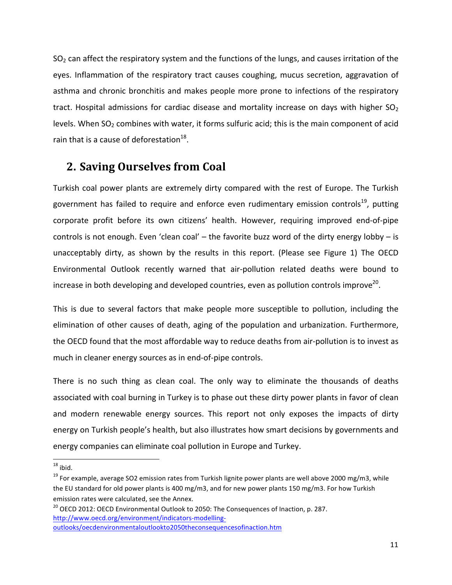$SO<sub>2</sub>$  can affect the respiratory system and the functions of the lungs, and causes irritation of the eyes. Inflammation of the respiratory tract causes coughing, mucus secretion, aggravation of asthma and chronic bronchitis and makes people more prone to infections of the respiratory tract. Hospital admissions for cardiac disease and mortality increase on days with higher  $SO<sub>2</sub>$ levels. When  $SO<sub>2</sub>$  combines with water, it forms sulfuric acid; this is the main component of acid rain that is a cause of deforestation $^{18}$ .

## **2. Saving Ourselves from Coal**

Turkish coal power plants are extremely dirty compared with the rest of Europe. The Turkish government has failed to require and enforce even rudimentary emission controls<sup>19</sup>, putting corporate profit before its own citizens' health. However, requiring improved end-of-pipe controls is not enough. Even 'clean coal' – the favorite buzz word of the dirty energy lobby – is unacceptably dirty, as shown by the results in this report. (Please see Figure 1) The OECD Environmental Outlook recently warned that air-pollution related deaths were bound to increase in both developing and developed countries, even as pollution controls improve<sup>20</sup>.

This is due to several factors that make people more susceptible to pollution, including the elimination of other causes of death, aging of the population and urbanization. Furthermore, the OECD found that the most affordable way to reduce deaths from air-pollution is to invest as much in cleaner energy sources as in end-of-pipe controls.

There is no such thing as clean coal. The only way to eliminate the thousands of deaths associated with coal burning in Turkey is to phase out these dirty power plants in favor of clean and modern renewable energy sources. This report not only exposes the impacts of dirty energy on Turkish people's health, but also illustrates how smart decisions by governments and energy companies can eliminate coal pollution in Europe and Turkey.

 $18$  ibid.

 $19$  For example, average SO2 emission rates from Turkish lignite power plants are well above 2000 mg/m3, while the EU standard for old power plants is 400 mg/m3, and for new power plants 150 mg/m3. For how Turkish emission rates were calculated, see the Annex.

 $20$  OECD 2012: OECD Environmental Outlook to 2050: The Consequences of Inaction, p. 287. http://www.oecd.org/environment/indicators-modellingoutlooks/oecdenvironmentaloutlookto2050theconsequencesofinaction.htm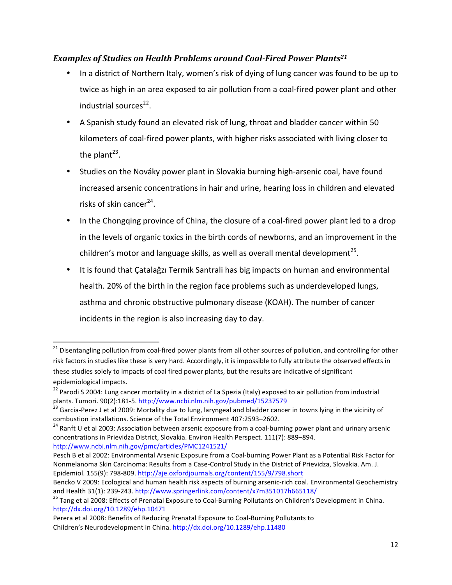#### **Examples of Studies on Health Problems around Coal-Fired Power Plants<sup>21</sup>**

- In a district of Northern Italy, women's risk of dying of lung cancer was found to be up to twice as high in an area exposed to air pollution from a coal-fired power plant and other industrial sources $^{22}$ .
- A Spanish study found an elevated risk of lung, throat and bladder cancer within 50 kilometers of coal-fired power plants, with higher risks associated with living closer to the plant<sup>23</sup>.
- Studies on the Nováky power plant in Slovakia burning high-arsenic coal, have found increased arsenic concentrations in hair and urine, hearing loss in children and elevated risks of skin cancer $24$ .
- In the Chongqing province of China, the closure of a coal-fired power plant led to a drop in the levels of organic toxics in the birth cords of newborns, and an improvement in the children's motor and language skills, as well as overall mental development<sup>25</sup>.
- It is found that Catalağzı Termik Santrali has big impacts on human and environmental health. 20% of the birth in the region face problems such as underdeveloped lungs, asthma and chronic obstructive pulmonary disease (KOAH). The number of cancer incidents in the region is also increasing day to day.

 $^{21}$  Disentangling pollution from coal-fired power plants from all other sources of pollution, and controlling for other risk factors in studies like these is very hard. Accordingly, it is impossible to fully attribute the observed effects in these studies solely to impacts of coal fired power plants, but the results are indicative of significant epidemiological impacts.

<sup>&</sup>lt;sup>22</sup> Parodi S 2004: Lung cancer mortality in a district of La Spezia (Italy) exposed to air pollution from industrial plants. Tumori. 90(2):181-5. http://www.ncbi.nlm.nih.gov/pubmed/15237579

plants. Tumori. UP, Judit of Tumori.<br><sup>23</sup> Garcia-Perez J et al 2009: Mortality due to lung, laryngeal and bladder cancer in towns lying in the vicinity of combustion installations. Science of the Total Environment 407:2593–2602.<br><sup>24</sup> Ranft U et al 2003: Association between arsenic exposure from a coal-burning power plant and urinary arsenic

concentrations in Prievidza District, Slovakia. Environ Health Perspect. 111(7): 889-894. http://www.ncbi.nlm.nih.gov/pmc/articles/PMC1241521/

Pesch B et al 2002: Environmental Arsenic Exposure from a Coal-burning Power Plant as a Potential Risk Factor for Nonmelanoma Skin Carcinoma: Results from a Case-Control Study in the District of Prievidza, Slovakia. Am. J. Epidemiol. 155(9): 798-809. http://aje.oxfordjournals.org/content/155/9/798.short

Bencko V 2009: Ecological and human health risk aspects of burning arsenic-rich coal. Environmental Geochemistry and Health 31(1): 239-243. http://www.springerlink.com/content/x7m351017h665118/<br><sup>25</sup> Tang et al 2008: Effects of Prenatal Exposure to Coal-Burning Pollutants on Children's Development in China.

http://dx.doi.org/10.1289/ehp.10471

Perera et al 2008: Benefits of Reducing Prenatal Exposure to Coal-Burning Pollutants to Children's Neurodevelopment in China. http://dx.doi.org/10.1289/ehp.11480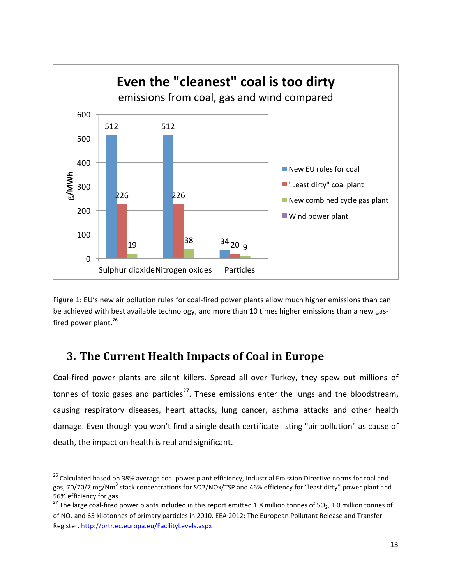

Figure 1: EU's new air pollution rules for coal-fired power plants allow much higher emissions than can be achieved with best available technology, and more than 10 times higher emissions than a new gasfired power plant. $^{26}$ 

## **3. The Current Health Impacts of Coal in Europe**

<u> 1989 - Johann Stein, fransk politik (d. 1989)</u>

Coal-fired power plants are silent killers. Spread all over Turkey, they spew out millions of tonnes of toxic gases and particles<sup>27</sup>. These emissions enter the lungs and the bloodstream, causing respiratory diseases, heart attacks, lung cancer, asthma attacks and other health damage. Even though you won't find a single death certificate listing "air pollution" as cause of death, the impact on health is real and significant.

 $^{26}$  Calculated based on 38% average coal power plant efficiency, Industrial Emission Directive norms for coal and gas, 70/70/7 mg/Nm<sup>3</sup> stack concentrations for SO2/NOx/TSP and 46% efficiency for "least dirty" power plant and 56% efficiency for gas.

<sup>&</sup>lt;sup>27</sup> The large coal-fired power plants included in this report emitted 1.8 million tonnes of SO<sub>2</sub>, 1.0 million tonnes of of NO<sub>x</sub> and 65 kilotonnes of primary particles in 2010. EEA 2012: The European Pollutant Release and Transfer Register. http://prtr.ec.europa.eu/FacilityLevels.aspx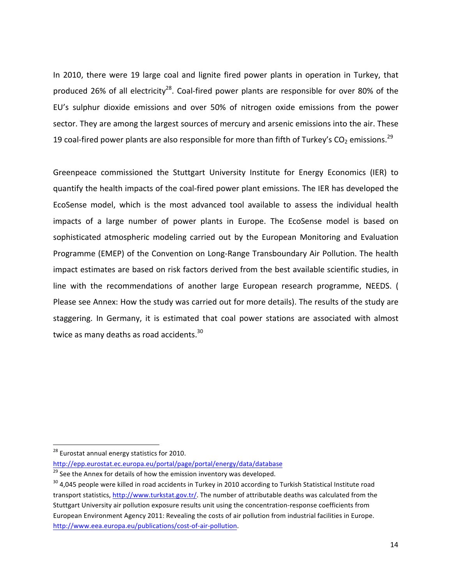In 2010, there were 19 large coal and lignite fired power plants in operation in Turkey, that produced 26% of all electricity<sup>28</sup>. Coal-fired power plants are responsible for over 80% of the EU's sulphur dioxide emissions and over 50% of nitrogen oxide emissions from the power sector. They are among the largest sources of mercury and arsenic emissions into the air. These 19 coal-fired power plants are also responsible for more than fifth of Turkey's CO<sub>2</sub> emissions.<sup>29</sup>

Greenpeace commissioned the Stuttgart University Institute for Energy Economics (IER) to quantify the health impacts of the coal-fired power plant emissions. The IER has developed the EcoSense model, which is the most advanced tool available to assess the individual health impacts of a large number of power plants in Europe. The EcoSense model is based on sophisticated atmospheric modeling carried out by the European Monitoring and Evaluation Programme (EMEP) of the Convention on Long-Range Transboundary Air Pollution. The health impact estimates are based on risk factors derived from the best available scientific studies, in line with the recommendations of another large European research programme, NEEDS. ( Please see Annex: How the study was carried out for more details). The results of the study are staggering. In Germany, it is estimated that coal power stations are associated with almost twice as many deaths as road accidents. $30<sub>1</sub>$ 

<sup>&</sup>lt;sup>28</sup> Eurostat annual energy statistics for 2010.

http://epp.eurostat.ec.europa.eu/portal/page/portal/energy/data/database 

 $29$  See the Annex for details of how the emission inventory was developed.

 $30$  4,045 people were killed in road accidents in Turkey in 2010 according to Turkish Statistical Institute road transport statistics, http://www.turkstat.gov.tr/. The number of attributable deaths was calculated from the Stuttgart University air pollution exposure results unit using the concentration-response coefficients from European Environment Agency 2011: Revealing the costs of air pollution from industrial facilities in Europe. http://www.eea.europa.eu/publications/cost-of-air-pollution.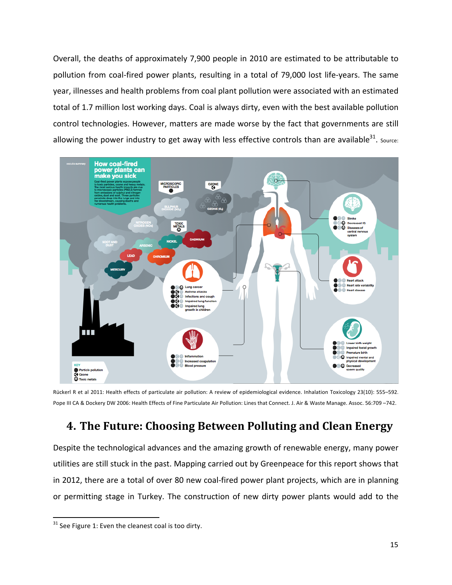Overall, the deaths of approximately 7,900 people in 2010 are estimated to be attributable to pollution from coal-fired power plants, resulting in a total of 79,000 lost life-years. The same year, illnesses and health problems from coal plant pollution were associated with an estimated total of 1.7 million lost working days. Coal is always dirty, even with the best available pollution control technologies. However, matters are made worse by the fact that governments are still allowing the power industry to get away with less effective controls than are available<sup>31</sup>. Source:



Rückerl R et al 2011: Health effects of particulate air pollution: A review of epidemiological evidence. Inhalation Toxicology 23(10): 555–592. Pope III CA & Dockery DW 2006: Health Effects of Fine Particulate Air Pollution: Lines that Connect. J. Air & Waste Manage. Assoc. 56:709 -742.

## **4. The Future: Choosing Between Polluting and Clean Energy**

Despite the technological advances and the amazing growth of renewable energy, many power utilities are still stuck in the past. Mapping carried out by Greenpeace for this report shows that in 2012, there are a total of over 80 new coal-fired power plant projects, which are in planning or permitting stage in Turkey. The construction of new dirty power plants would add to the

 

 $31$  See Figure 1: Even the cleanest coal is too dirty.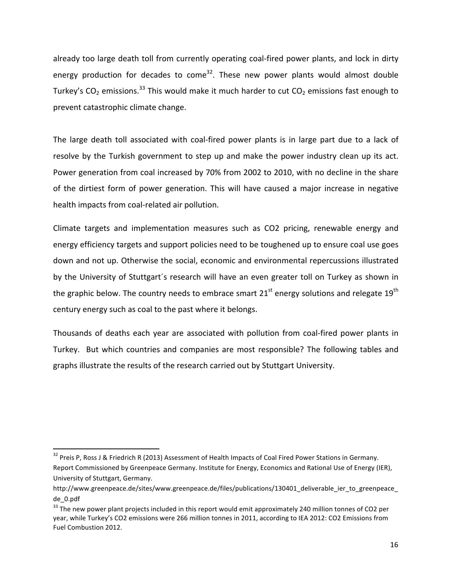already too large death toll from currently operating coal-fired power plants, and lock in dirty energy production for decades to come<sup>32</sup>. These new power plants would almost double Turkey's  $CO_2$  emissions.<sup>33</sup> This would make it much harder to cut  $CO_2$  emissions fast enough to prevent catastrophic climate change.

The large death toll associated with coal-fired power plants is in large part due to a lack of resolve by the Turkish government to step up and make the power industry clean up its act. Power generation from coal increased by 70% from 2002 to 2010, with no decline in the share of the dirtiest form of power generation. This will have caused a major increase in negative health impacts from coal-related air pollution.

Climate targets and implementation measures such as CO2 pricing, renewable energy and energy efficiency targets and support policies need to be toughened up to ensure coal use goes down and not up. Otherwise the social, economic and environmental repercussions illustrated by the University of Stuttgart's research will have an even greater toll on Turkey as shown in the graphic below. The country needs to embrace smart  $21<sup>st</sup>$  energy solutions and relegate  $19<sup>th</sup>$ century energy such as coal to the past where it belongs.

Thousands of deaths each year are associated with pollution from coal-fired power plants in Turkey. But which countries and companies are most responsible? The following tables and graphs illustrate the results of the research carried out by Stuttgart University.

<u> 1989 - Johann Stein, markin film yn y breninn y breninn y breninn y breninn y breninn y breninn y breninn y b</u>

 $32$  Preis P, Ross J & Friedrich R (2013) Assessment of Health Impacts of Coal Fired Power Stations in Germany. Report Commissioned by Greenpeace Germany. Institute for Energy, Economics and Rational Use of Energy (IER), University of Stuttgart, Germany.

http://www.greenpeace.de/sites/www.greenpeace.de/files/publications/130401\_deliverable\_ier\_to\_greenpeace de\_0.pdf

 $33$  The new power plant projects included in this report would emit approximately 240 million tonnes of CO2 per year, while Turkey's CO2 emissions were 266 million tonnes in 2011, according to IEA 2012: CO2 Emissions from Fuel Combustion 2012.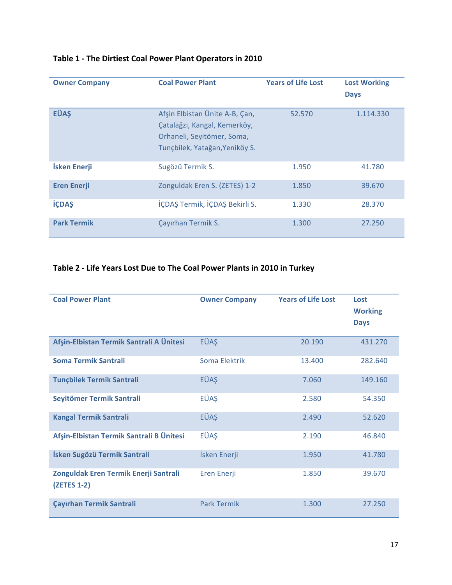| <b>Owner Company</b> | <b>Coal Power Plant</b>                                                                                                        | <b>Years of Life Lost</b> | <b>Lost Working</b><br><b>Days</b> |
|----------------------|--------------------------------------------------------------------------------------------------------------------------------|---------------------------|------------------------------------|
| <b>EÜAŞ</b>          | Afşin Elbistan Ünite A-B, Çan,<br>Çatalağzı, Kangal, Kemerköy,<br>Orhaneli, Seyitömer, Soma,<br>Tunçbilek, Yatağan, Yeniköy S. | 52.570                    | 1.114.330                          |
| İsken Enerji         | Sugözü Termik S.                                                                                                               | 1.950                     | 41.780                             |
| <b>Eren Enerji</b>   | Zonguldak Eren S. (ZETES) 1-2                                                                                                  | 1.850                     | 39.670                             |
| <b>İÇDAŞ</b>         | İÇDAŞ Termik, İÇDAŞ Bekirli S.                                                                                                 | 1.330                     | 28.370                             |
| <b>Park Termik</b>   | <b>Cayırhan Termik S.</b>                                                                                                      | 1.300                     | 27.250                             |

#### Table 1 - The Dirtiest Coal Power Plant Operators in 2010

#### **Table 2 - Life Years Lost Due to The Coal Power Plants in 2010 in Turkey**

| <b>Coal Power Plant</b>                              | <b>Owner Company</b> | <b>Years of Life Lost</b> | Lost<br><b>Working</b><br><b>Days</b> |
|------------------------------------------------------|----------------------|---------------------------|---------------------------------------|
| Afşin-Elbistan Termik Santrali A Ünitesi             | <b>EÜAS</b>          | 20.190                    | 431.270                               |
| <b>Soma Termik Santrali</b>                          | Soma Flektrik        | 13.400                    | 282.640                               |
| <b>Tunçbilek Termik Santrali</b>                     | <b>EÜAS</b>          | 7.060                     | 149.160                               |
| Seyitömer Termik Santrali                            | EÜAŞ                 | 2.580                     | 54.350                                |
| <b>Kangal Termik Santrali</b>                        | <b>EÜAS</b>          | 2.490                     | 52.620                                |
| Afşin-Elbistan Termik Santrali B Ünitesi             | EÜAŞ                 | 2.190                     | 46.840                                |
| İsken Sugözü Termik Santrali                         | İsken Enerji         | 1.950                     | 41.780                                |
| Zonguldak Eren Termik Enerji Santrali<br>(ZETES 1-2) | Eren Enerji          | 1.850                     | 39.670                                |
| <b>Çayırhan Termik Santrali</b>                      | <b>Park Termik</b>   | 1.300                     | 27.250                                |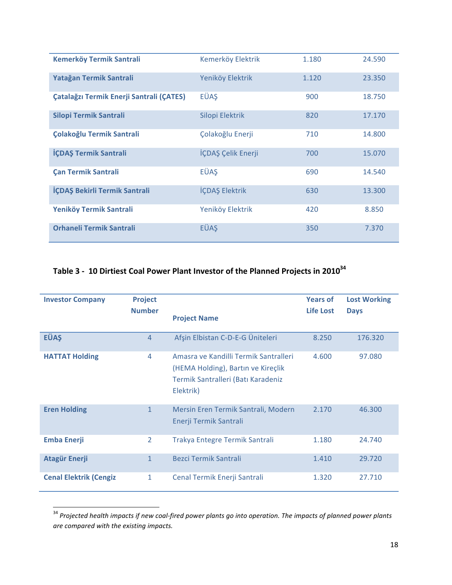| <b>Kemerköy Termik Santrali</b>          | Kemerköy Elektrik  | 1.180 | 24.590 |
|------------------------------------------|--------------------|-------|--------|
| Yatağan Termik Santrali                  | Yeniköy Elektrik   | 1.120 | 23.350 |
| Çatalağzı Termik Enerji Santrali (ÇATES) | <b>EÜAS</b>        | 900   | 18.750 |
| Silopi Termik Santrali                   | Silopi Elektrik    | 820   | 17.170 |
| Çolakoğlu Termik Santrali                | Çolakoğlu Enerji   | 710   | 14.800 |
| İÇDAŞ Termik Santrali                    | İÇDAŞ Çelik Enerji | 700   | 15.070 |
| <b>Çan Termik Santrali</b>               | <b>EÜAS</b>        | 690   | 14.540 |
| İÇDAŞ Bekirli Termik Santrali            | İÇDAŞ Elektrik     | 630   | 13.300 |
| Yeniköy Termik Santrali                  | Yeniköy Elektrik   | 420   | 8.850  |
| <b>Orhaneli Termik Santrali</b>          | <b>EÜAS</b>        | 350   | 7.370  |

## Table 3 - 10 Dirtiest Coal Power Plant Investor of the Planned Projects in 2010<sup>34</sup>

| <b>Investor Company</b>       | <b>Project</b><br><b>Number</b> | <b>Project Name</b>                                                                                                            | <b>Years of</b><br>Life Lost | <b>Lost Working</b><br><b>Days</b> |
|-------------------------------|---------------------------------|--------------------------------------------------------------------------------------------------------------------------------|------------------------------|------------------------------------|
| <b>EÜAS</b>                   | 4                               | Afşin Elbistan C-D-E-G Üniteleri                                                                                               | 8.250                        | 176.320                            |
| <b>HATTAT Holding</b>         | 4                               | Amasra ve Kandilli Termik Santralleri<br>(HEMA Holding), Bartin ve Kireçlik<br>Termik Santralleri (Batı Karadeniz<br>Elektrik) | 4.600                        | 97.080                             |
| <b>Eren Holding</b>           | $\mathbf{1}$                    | Mersin Eren Termik Santrali, Modern<br>Enerji Termik Santrali                                                                  | 2.170                        | 46.300                             |
| <b>Emba Enerji</b>            | $\overline{2}$                  | Trakya Entegre Termik Santrali                                                                                                 | 1.180                        | 24.740                             |
| <b>Atagür Enerji</b>          | 1                               | Bezci Termik Santrali                                                                                                          | 1.410                        | 29.720                             |
| <b>Cenal Elektrik (Cengiz</b> | 1                               | Cenal Termik Enerji Santrali                                                                                                   | 1,320                        | 27.710                             |

<sup>&</sup>lt;sup>34</sup> Projected health impacts if new coal-fired power plants go into operation. The impacts of planned power plants *are compared with the existing impacts.*

<u> 1989 - Johann Stein, markin film yn y breninn y breninn y breninn y breninn y breninn y breninn y breninn y b</u>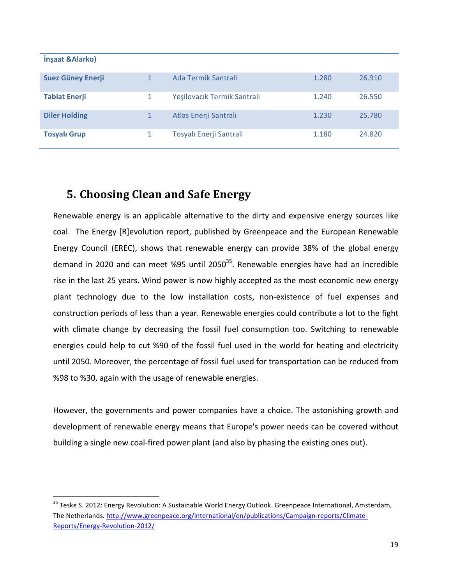| Insaat & Alarko)         |                             |       |        |
|--------------------------|-----------------------------|-------|--------|
| <b>Suez Güney Enerji</b> | Ada Termik Santrali         | 1.280 | 26.910 |
| <b>Tabiat Enerji</b>     | Yeşilovacık Termik Santrali | 1.240 | 26.550 |
| <b>Diler Holding</b>     | Atlas Enerji Santrali       | 1.230 | 25.780 |
| <b>Tosyalı Grup</b>      | Tosyalı Enerji Santrali     | 1.180 | 24,820 |

## **5. Choosing Clean and Safe Energy**

<u> 1989 - Johann Stein, markin film yn y breninn y breninn y breninn y breninn y breninn y breninn y breninn y b</u>

Renewable energy is an applicable alternative to the dirty and expensive energy sources like coal. The Energy [R]evolution report, published by Greenpeace and the European Renewable Energy Council (EREC), shows that renewable energy can provide 38% of the global energy demand in 2020 and can meet %95 until  $2050^{35}$ . Renewable energies have had an incredible rise in the last 25 years. Wind power is now highly accepted as the most economic new energy plant technology due to the low installation costs, non-existence of fuel expenses and construction periods of less than a year. Renewable energies could contribute a lot to the fight with climate change by decreasing the fossil fuel consumption too. Switching to renewable energies could help to cut %90 of the fossil fuel used in the world for heating and electricity until 2050. Moreover, the percentage of fossil fuel used for transportation can be reduced from %98 to %30, again with the usage of renewable energies.

However, the governments and power companies have a choice. The astonishing growth and development of renewable energy means that Europe's power needs can be covered without building a single new coal-fired power plant (and also by phasing the existing ones out).

<sup>&</sup>lt;sup>35</sup> Teske S. 2012: Energy Revolution: A Sustainable World Energy Outlook. Greenpeace International, Amsterdam, The Netherlands. http://www.greenpeace.org/international/en/publications/Campaign-reports/Climate-Reports/Energy-Revolution-2012/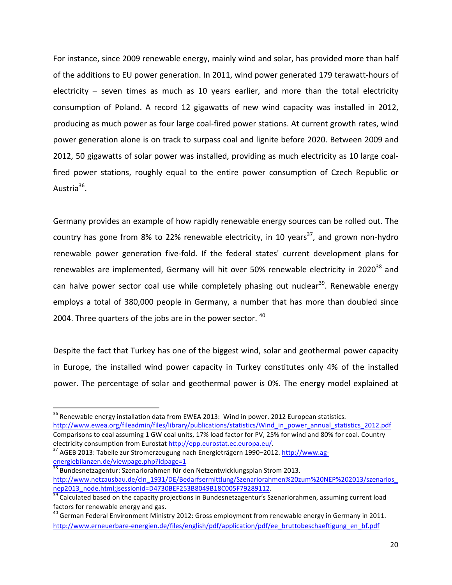For instance, since 2009 renewable energy, mainly wind and solar, has provided more than half of the additions to EU power generation. In 2011, wind power generated 179 terawatt-hours of electricity  $-$  seven times as much as 10 years earlier, and more than the total electricity consumption of Poland. A record 12 gigawatts of new wind capacity was installed in 2012, producing as much power as four large coal-fired power stations. At current growth rates, wind power generation alone is on track to surpass coal and lignite before 2020. Between 2009 and 2012, 50 gigawatts of solar power was installed, providing as much electricity as 10 large coalfired power stations, roughly equal to the entire power consumption of Czech Republic or Austria<sup>36</sup>.

Germany provides an example of how rapidly renewable energy sources can be rolled out. The country has gone from 8% to 22% renewable electricity, in 10 years<sup>37</sup>, and grown non-hydro renewable power generation five-fold. If the federal states' current development plans for renewables are implemented, Germany will hit over 50% renewable electricity in 2020<sup>38</sup> and can halve power sector coal use while completely phasing out nuclear<sup>39</sup>. Renewable energy employs a total of 380,000 people in Germany, a number that has more than doubled since 2004. Three quarters of the jobs are in the power sector.  $40$ 

Despite the fact that Turkey has one of the biggest wind, solar and geothermal power capacity in Europe, the installed wind power capacity in Turkey constitutes only 4% of the installed power. The percentage of solar and geothermal power is 0%. The energy model explained at

<u> 1989 - Johann Stein, markin film yn y breninn y breninn y breninn y breninn y breninn y breninn y breninn y b</u>

 $38$  Bundesnetzagentur: Szenariorahmen für den Netzentwicklungsplan Strom 2013. http://www.netzausbau.de/cln\_1931/DE/Bedarfsermittlung/Szenariorahmen%20zum%20NEP%202013/szenarios\_ nep2013\_node.html;jsessionid=D4730BEF253B8049B18C005F79289112.<br><sup>39</sup> Calculated based on the capacity projections in Bundesnetzagentur's Szenariorahmen, assuming current load

 $^{36}$  Renewable energy installation data from EWEA 2013: Wind in power. 2012 European statistics. http://www.ewea.org/fileadmin/files/library/publications/statistics/Wind\_in\_power\_annual\_statistics\_2012.pdf

Comparisons to coal assuming 1 GW coal units, 17% load factor for PV, 25% for wind and 80% for coal. Country electricity consumption from Eurostat http://epp.eurostat.ec.europa.eu/.<br><sup>37</sup> AGEB 2013: Tabelle zur Stromerzeugung nach Energieträgern 1990–2012. http://www.ag-

energiebilanzen.de/viewpage.php?idpage=1

factors for renewable energy and gas.<br><sup>40</sup> German Federal Environment Ministry 2012: Gross employment from renewable energy in Germany in 2011.

http://www.erneuerbare-energien.de/files/english/pdf/application/pdf/ee\_bruttobeschaeftigung\_en\_bf.pdf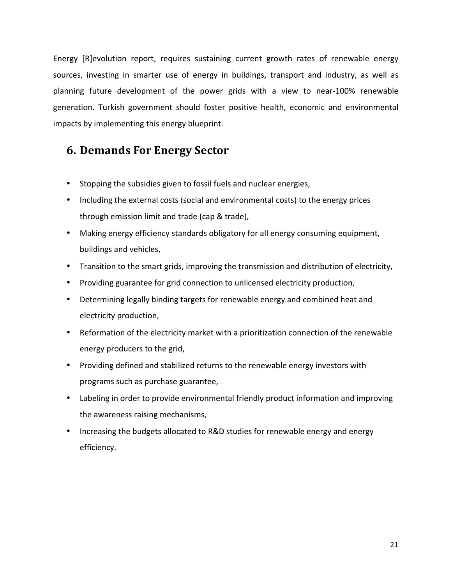Energy [R]evolution report, requires sustaining current growth rates of renewable energy sources, investing in smarter use of energy in buildings, transport and industry, as well as planning future development of the power grids with a view to near-100% renewable generation. Turkish government should foster positive health, economic and environmental impacts by implementing this energy blueprint.

## **6. Demands For Energy Sector**

- Stopping the subsidies given to fossil fuels and nuclear energies,
- Including the external costs (social and environmental costs) to the energy prices through emission limit and trade (cap & trade),
- Making energy efficiency standards obligatory for all energy consuming equipment, buildings and vehicles,
- Transition to the smart grids, improving the transmission and distribution of electricity,
- Providing guarantee for grid connection to unlicensed electricity production,
- Determining legally binding targets for renewable energy and combined heat and electricity production,
- Reformation of the electricity market with a prioritization connection of the renewable energy producers to the grid,
- Providing defined and stabilized returns to the renewable energy investors with programs such as purchase guarantee,
- Labeling in order to provide environmental friendly product information and improving the awareness raising mechanisms,
- Increasing the budgets allocated to R&D studies for renewable energy and energy efficiency.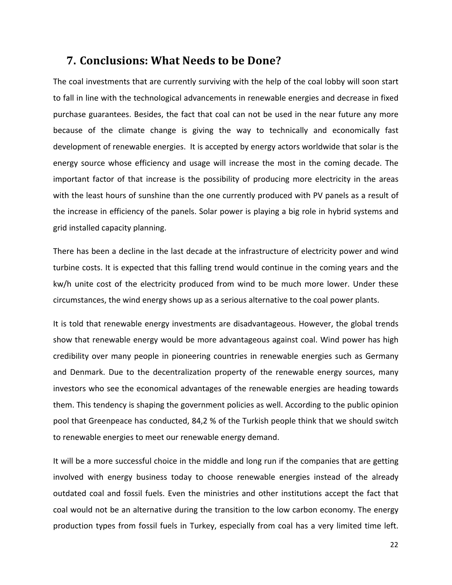## **7. Conclusions: What Needs to be Done?**

The coal investments that are currently surviving with the help of the coal lobby will soon start to fall in line with the technological advancements in renewable energies and decrease in fixed purchase guarantees. Besides, the fact that coal can not be used in the near future any more because of the climate change is giving the way to technically and economically fast development of renewable energies. It is accepted by energy actors worldwide that solar is the energy source whose efficiency and usage will increase the most in the coming decade. The important factor of that increase is the possibility of producing more electricity in the areas with the least hours of sunshine than the one currently produced with PV panels as a result of the increase in efficiency of the panels. Solar power is playing a big role in hybrid systems and grid installed capacity planning.

There has been a decline in the last decade at the infrastructure of electricity power and wind turbine costs. It is expected that this falling trend would continue in the coming years and the kw/h unite cost of the electricity produced from wind to be much more lower. Under these circumstances, the wind energy shows up as a serious alternative to the coal power plants.

It is told that renewable energy investments are disadvantageous. However, the global trends show that renewable energy would be more advantageous against coal. Wind power has high credibility over many people in pioneering countries in renewable energies such as Germany and Denmark. Due to the decentralization property of the renewable energy sources, many investors who see the economical advantages of the renewable energies are heading towards them. This tendency is shaping the government policies as well. According to the public opinion pool that Greenpeace has conducted, 84,2 % of the Turkish people think that we should switch to renewable energies to meet our renewable energy demand.

It will be a more successful choice in the middle and long run if the companies that are getting involved with energy business today to choose renewable energies instead of the already outdated coal and fossil fuels. Even the ministries and other institutions accept the fact that coal would not be an alternative during the transition to the low carbon economy. The energy production types from fossil fuels in Turkey, especially from coal has a very limited time left.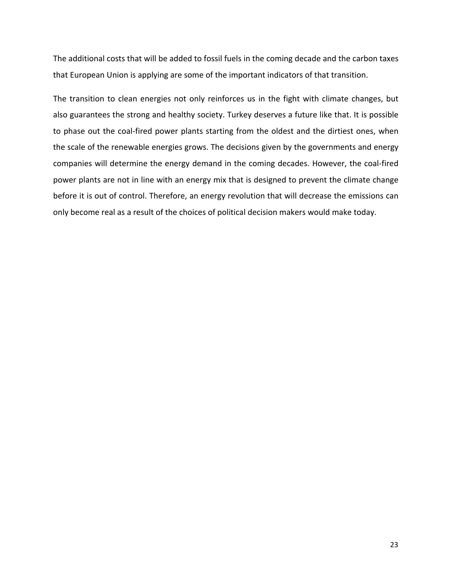The additional costs that will be added to fossil fuels in the coming decade and the carbon taxes that European Union is applying are some of the important indicators of that transition.

The transition to clean energies not only reinforces us in the fight with climate changes, but also guarantees the strong and healthy society. Turkey deserves a future like that. It is possible to phase out the coal-fired power plants starting from the oldest and the dirtiest ones, when the scale of the renewable energies grows. The decisions given by the governments and energy companies will determine the energy demand in the coming decades. However, the coal-fired power plants are not in line with an energy mix that is designed to prevent the climate change before it is out of control. Therefore, an energy revolution that will decrease the emissions can only become real as a result of the choices of political decision makers would make today.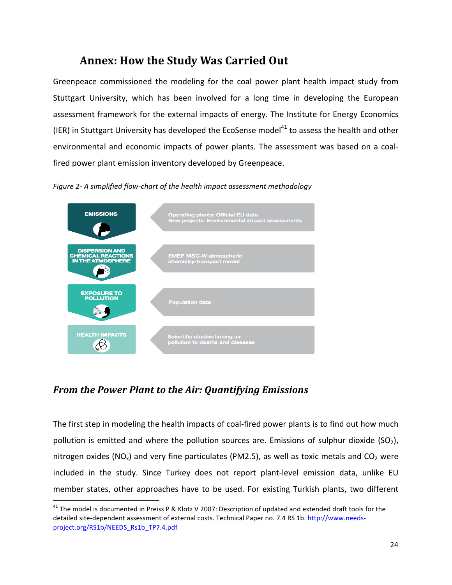## **Annex: How the Study Was Carried Out**

Greenpeace commissioned the modeling for the coal power plant health impact study from Stuttgart University, which has been involved for a long time in developing the European assessment framework for the external impacts of energy. The Institute for Energy Economics (IER) in Stuttgart University has developed the EcoSense model<sup>41</sup> to assess the health and other environmental and economic impacts of power plants. The assessment was based on a coalfired power plant emission inventory developed by Greenpeace.

Figure 2- A simplified flow-chart of the health impact assessment methodology



## *From the Power Plant to the Air: Quantifying Emissions*

<u> 1989 - Johann Stein, markin film yn y breninn y breninn y breninn y breninn y breninn y breninn y breninn y b</u>

The first step in modeling the health impacts of coal-fired power plants is to find out how much pollution is emitted and where the pollution sources are. Emissions of sulphur dioxide  $(SO<sub>2</sub>)$ , nitrogen oxides (NO<sub>x</sub>) and very fine particulates (PM2.5), as well as toxic metals and  $CO<sub>2</sub>$  were included in the study. Since Turkey does not report plant-level emission data, unlike EU member states, other approaches have to be used. For existing Turkish plants, two different

 $41$  The model is documented in Preiss P & Klotz V 2007: Description of updated and extended draft tools for the detailed site-dependent assessment of external costs. Technical Paper no. 7.4 RS 1b. http://www.needsproject.org/RS1b/NEEDS\_Rs1b\_TP7.4.pdf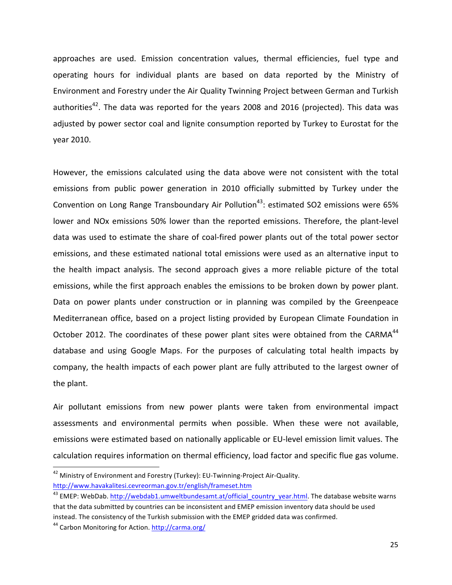approaches are used. Emission concentration values, thermal efficiencies, fuel type and operating hours for individual plants are based on data reported by the Ministry of Environment and Forestry under the Air Quality Twinning Project between German and Turkish authorities<sup>42</sup>. The data was reported for the years 2008 and 2016 (projected). This data was adjusted by power sector coal and lignite consumption reported by Turkey to Eurostat for the year 2010.

However, the emissions calculated using the data above were not consistent with the total emissions from public power generation in 2010 officially submitted by Turkey under the Convention on Long Range Transboundary Air Pollution<sup>43</sup>: estimated SO2 emissions were 65% lower and NOx emissions 50% lower than the reported emissions. Therefore, the plant-level data was used to estimate the share of coal-fired power plants out of the total power sector emissions, and these estimated national total emissions were used as an alternative input to the health impact analysis. The second approach gives a more reliable picture of the total emissions, while the first approach enables the emissions to be broken down by power plant. Data on power plants under construction or in planning was compiled by the Greenpeace Mediterranean office, based on a project listing provided by European Climate Foundation in October 2012. The coordinates of these power plant sites were obtained from the CARMA<sup>44</sup> database and using Google Maps. For the purposes of calculating total health impacts by company, the health impacts of each power plant are fully attributed to the largest owner of the plant.

Air pollutant emissions from new power plants were taken from environmental impact assessments and environmental permits when possible. When these were not available, emissions were estimated based on nationally applicable or EU-level emission limit values. The calculation requires information on thermal efficiency, load factor and specific flue gas volume.

<u> 1989 - Johann Stein, markin film yn y breninn y breninn y breninn y breninn y breninn y breninn y breninn y b</u>

<sup>&</sup>lt;sup>42</sup> Ministry of Environment and Forestry (Turkey): EU-Twinning-Project Air-Quality. http://www.havakalitesi.cevreorman.gov.tr/english/frameset.htm

<sup>&</sup>lt;sup>43</sup> EMEP: WebDab. http://webdab1.umweltbundesamt.at/official\_country\_year.html. The database website warns that the data submitted by countries can be inconsistent and EMEP emission inventory data should be used instead. The consistency of the Turkish submission with the EMEP gridded data was confirmed.

<sup>&</sup>lt;sup>44</sup> Carbon Monitoring for Action. http://carma.org/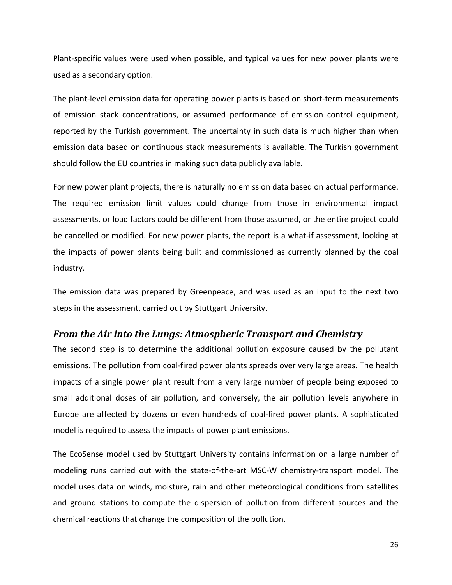Plant-specific values were used when possible, and typical values for new power plants were used as a secondary option.

The plant-level emission data for operating power plants is based on short-term measurements of emission stack concentrations, or assumed performance of emission control equipment, reported by the Turkish government. The uncertainty in such data is much higher than when emission data based on continuous stack measurements is available. The Turkish government should follow the EU countries in making such data publicly available.

For new power plant projects, there is naturally no emission data based on actual performance. The required emission limit values could change from those in environmental impact assessments, or load factors could be different from those assumed, or the entire project could be cancelled or modified. For new power plants, the report is a what-if assessment, looking at the impacts of power plants being built and commissioned as currently planned by the coal industry.

The emission data was prepared by Greenpeace, and was used as an input to the next two steps in the assessment, carried out by Stuttgart University.

#### *From the Air into the Lungs: Atmospheric Transport and Chemistry*

The second step is to determine the additional pollution exposure caused by the pollutant emissions. The pollution from coal-fired power plants spreads over very large areas. The health impacts of a single power plant result from a very large number of people being exposed to small additional doses of air pollution, and conversely, the air pollution levels anywhere in Europe are affected by dozens or even hundreds of coal-fired power plants. A sophisticated model is required to assess the impacts of power plant emissions.

The EcoSense model used by Stuttgart University contains information on a large number of modeling runs carried out with the state-of-the-art MSC-W chemistry-transport model. The model uses data on winds, moisture, rain and other meteorological conditions from satellites and ground stations to compute the dispersion of pollution from different sources and the chemical reactions that change the composition of the pollution.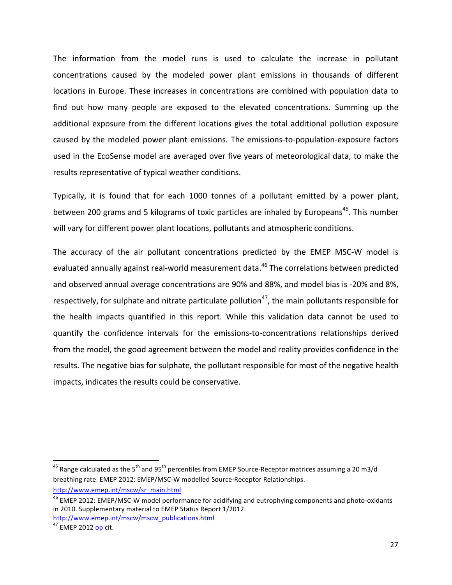The information from the model runs is used to calculate the increase in pollutant concentrations caused by the modeled power plant emissions in thousands of different locations in Europe. These increases in concentrations are combined with population data to find out how many people are exposed to the elevated concentrations. Summing up the additional exposure from the different locations gives the total additional pollution exposure caused by the modeled power plant emissions. The emissions-to-population-exposure factors used in the EcoSense model are averaged over five years of meteorological data, to make the results representative of typical weather conditions.

Typically, it is found that for each 1000 tonnes of a pollutant emitted by a power plant, between 200 grams and 5 kilograms of toxic particles are inhaled by Europeans<sup>45</sup>. This number will vary for different power plant locations, pollutants and atmospheric conditions.

The accuracy of the air pollutant concentrations predicted by the EMEP MSC-W model is evaluated annually against real-world measurement data.<sup>46</sup> The correlations between predicted and observed annual average concentrations are 90% and 88%, and model bias is -20% and 8%, respectively, for sulphate and nitrate particulate pollution<sup>47</sup>, the main pollutants responsible for the health impacts quantified in this report. While this validation data cannot be used to quantify the confidence intervals for the emissions-to-concentrations relationships derived from the model, the good agreement between the model and reality provides confidence in the results. The negative bias for sulphate, the pollutant responsible for most of the negative health impacts, indicates the results could be conservative.

<u> 1989 - Johann Stein, markin film yn y breninn y breninn y breninn y breninn y breninn y breninn y breninn y b</u>

<sup>&</sup>lt;sup>45</sup> Range calculated as the 5<sup>th</sup> and 95<sup>th</sup> percentiles from EMEP Source-Receptor matrices assuming a 20 m3/d breathing rate. EMEP 2012: EMEP/MSC-W modelled Source-Receptor Relationships. http://www.emep.int/mscw/sr\_main.html

<sup>&</sup>lt;sup>46</sup> EMEP 2012: EMEP/MSC-W model performance for acidifying and eutrophying components and photo-oxidants in 2010. Supplementary material to EMEP Status Report 1/2012. http://www.emep.int/mscw/mscw\_publications.html

 $rac{1}{47}$  EMEP 2012 <u>op</u> cit.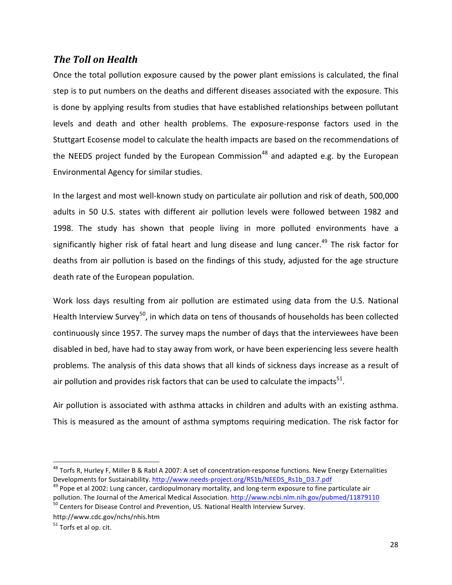#### *The Toll on Health*

Once the total pollution exposure caused by the power plant emissions is calculated, the final step is to put numbers on the deaths and different diseases associated with the exposure. This is done by applying results from studies that have established relationships between pollutant levels and death and other health problems. The exposure-response factors used in the Stuttgart Ecosense model to calculate the health impacts are based on the recommendations of the NEEDS project funded by the European Commission<sup>48</sup> and adapted e.g. by the European Environmental Agency for similar studies.

In the largest and most well-known study on particulate air pollution and risk of death, 500,000 adults in 50 U.S. states with different air pollution levels were followed between 1982 and 1998. The study has shown that people living in more polluted environments have a significantly higher risk of fatal heart and lung disease and lung cancer.<sup>49</sup> The risk factor for deaths from air pollution is based on the findings of this study, adjusted for the age structure death rate of the European population.

Work loss days resulting from air pollution are estimated using data from the U.S. National Health Interview Survey<sup>50</sup>, in which data on tens of thousands of households has been collected continuously since 1957. The survey maps the number of days that the interviewees have been disabled in bed, have had to stay away from work, or have been experiencing less severe health problems. The analysis of this data shows that all kinds of sickness days increase as a result of air pollution and provides risk factors that can be used to calculate the impacts<sup>51</sup>.

Air pollution is associated with asthma attacks in children and adults with an existing asthma. This is measured as the amount of asthma symptoms requiring medication. The risk factor for

<u> 1989 - Johann Stein, markin film yn y breninn y breninn y breninn y breninn y breninn y breninn y breninn y b</u>

 $^{48}$  Torfs R, Hurley F, Miller B & Rabl A 2007: A set of concentration-response functions. New Energy Externalities Developments for Sustainability. http://www.needs-project.org/RS1b/NEEDS\_Rs1b\_D3.7.pdf<br><sup>49</sup> Pope et al 2002: Lung cancer, cardiopulmonary mortality, and long-term exposure to fine particulate air

pollution. The Journal of the Americal Medical Association. http://www.ncbi.nlm.nih.gov/pubmed/11879110<br><sup>50</sup> Centers for Disease Control and Prevention, US. National Health Interview Survey.

http://www.cdc.gov/nchs/nhis.htm

 $51$  Torfs et al op. cit.